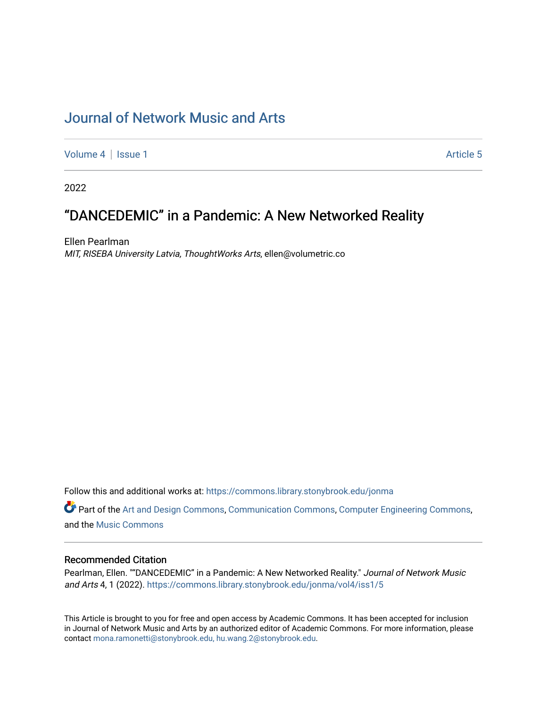[Volume 4](https://commons.library.stonybrook.edu/jonma/vol4) | [Issue 1](https://commons.library.stonybrook.edu/jonma/vol4/iss1) Article 5

2022

# "DANCEDEMIC" in a Pandemic: A New Networked Reality

Ellen Pearlman MIT, RISEBA University Latvia, ThoughtWorks Arts, ellen@volumetric.co

Follow this and additional works at: [https://commons.library.stonybrook.edu/jonma](https://commons.library.stonybrook.edu/jonma?utm_source=commons.library.stonybrook.edu%2Fjonma%2Fvol4%2Fiss1%2F5&utm_medium=PDF&utm_campaign=PDFCoverPages) 

Part of the [Art and Design Commons](https://network.bepress.com/hgg/discipline/1049?utm_source=commons.library.stonybrook.edu%2Fjonma%2Fvol4%2Fiss1%2F5&utm_medium=PDF&utm_campaign=PDFCoverPages), [Communication Commons](https://network.bepress.com/hgg/discipline/325?utm_source=commons.library.stonybrook.edu%2Fjonma%2Fvol4%2Fiss1%2F5&utm_medium=PDF&utm_campaign=PDFCoverPages), [Computer Engineering Commons](https://network.bepress.com/hgg/discipline/258?utm_source=commons.library.stonybrook.edu%2Fjonma%2Fvol4%2Fiss1%2F5&utm_medium=PDF&utm_campaign=PDFCoverPages), and the [Music Commons](https://network.bepress.com/hgg/discipline/518?utm_source=commons.library.stonybrook.edu%2Fjonma%2Fvol4%2Fiss1%2F5&utm_medium=PDF&utm_campaign=PDFCoverPages)

#### Recommended Citation

Pearlman, Ellen. ""DANCEDEMIC" in a Pandemic: A New Networked Reality." Journal of Network Music and Arts 4, 1 (2022). [https://commons.library.stonybrook.edu/jonma/vol4/iss1/5](https://commons.library.stonybrook.edu/jonma/vol4/iss1/5?utm_source=commons.library.stonybrook.edu%2Fjonma%2Fvol4%2Fiss1%2F5&utm_medium=PDF&utm_campaign=PDFCoverPages) 

This Article is brought to you for free and open access by Academic Commons. It has been accepted for inclusion in Journal of Network Music and Arts by an authorized editor of Academic Commons. For more information, please contact [mona.ramonetti@stonybrook.edu, hu.wang.2@stonybrook.edu.](mailto:mona.ramonetti@stonybrook.edu,%20hu.wang.2@stonybrook.edu)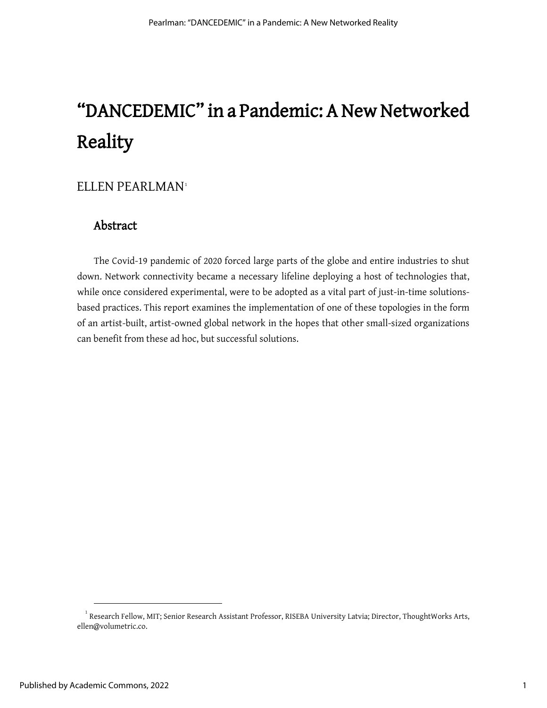# $ELLEN$   $PEARLMAN<sup>1</sup>$  $PEARLMAN<sup>1</sup>$  $PEARLMAN<sup>1</sup>$

## Abstract

The Covid-19 pandemic of 2020 forced large parts of the globe and entire industries to shut down. Network connectivity became a necessary lifeline deploying a host of technologies that, while once considered experimental, were to be adopted as a vital part of just-in-time solutionsbased practices. This report examines the implementation of one of these topologies in the form of an artist-built, artist-owned global network in the hopes that other small-sized organizations can benefit from these ad hoc, but successful solutions.

<span id="page-1-0"></span> $^{\rm 1}$  Research Fellow, MIT; Senior Research Assistant Professor, RISEBA University Latvia; Director, ThoughtWorks Arts, ellen@volumetric.co.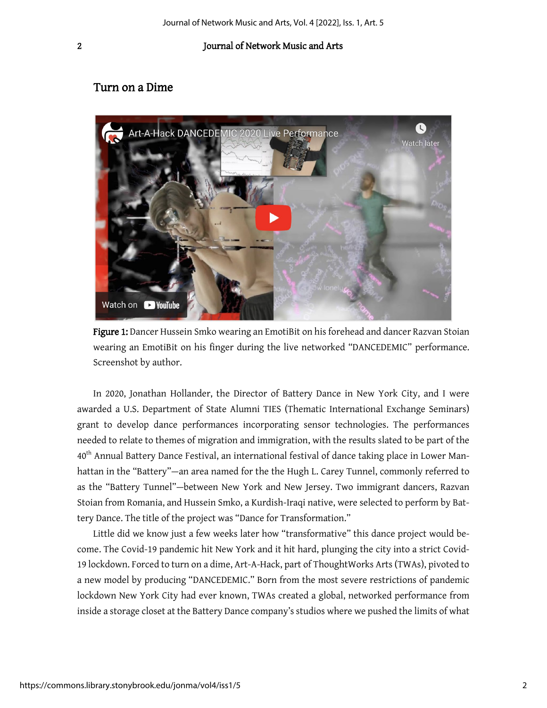## Turn on a Dime



Figure 1: Dancer Hussein Smko wearing an EmotiBit on his forehead and dancer Razvan Stoian wearing an EmotiBit on his finger during the live networked "DANCEDEMIC" performance. Screenshot by author.

In 2020, Jonathan Hollander, the Director of Battery Dance in New York City, and I were awarded a U.S. Department of State Alumni TIES (Thematic International Exchange Seminars) grant to develop dance performances incorporating sensor technologies. The performances needed to relate to themes of migration and immigration, with the results slated to be part of the 40th Annual Battery Dance Festival, an international festival of dance taking place in Lower Manhattan in the "Battery"—an area named for the the Hugh L. Carey Tunnel, commonly referred to as the "Battery Tunnel"—between New York and New Jersey. Two immigrant dancers, Razvan Stoian from Romania, and Hussein Smko, a Kurdish-Iraqi native, were selected to perform by Battery Dance. The title of the project was "Dance for Transformation."

Little did we know just a few weeks later how "transformative" this dance project would become. The Covid-19 pandemic hit New York and it hit hard, plunging the city into a strict Covid-19 lockdown. Forced to turn on a dime, Art-A-Hack, part of ThoughtWorks Arts (TWAs), pivoted to a new model by producing "DANCEDEMIC." Born from the most severe restrictions of pandemic lockdown New York City had ever known, TWAs created a global, networked performance from inside a storage closet at the Battery Dance company's studios where we pushed the limits of what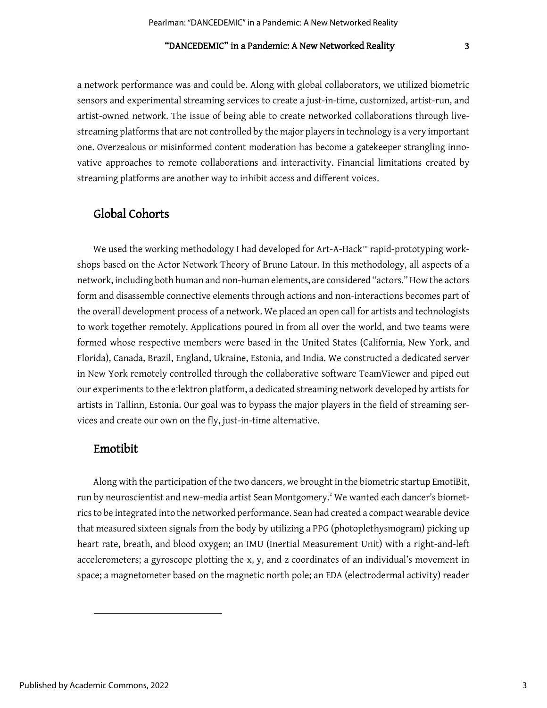a network performance was and could be. Along with global collaborators, we utilized biometric sensors and experimental streaming services to create a just-in-time, customized, artist-run, and artist-owned network. The issue of being able to create networked collaborations through livestreaming platforms that are not controlled by the major players in technology is a very important one. Overzealous or misinformed content moderation has become a gatekeeper strangling innovative approaches to remote collaborations and interactivity. Financial limitations created by streaming platforms are another way to inhibit access and different voices.

## Global Cohorts

We used the working methodology I had developed for Art-A-Hack™ rapid-prototyping workshops based on the Actor Network Theory of Bruno Latour. In this methodology, all aspects of a network, including both human and non-human elements, are considered "actors." How the actors form and disassemble connective elements through actions and non-interactions becomes part of the overall development process of a network. We placed an open call for artists and technologists to work together remotely. Applications poured in from all over the world, and two teams were formed whose respective members were based in the United States (California, New York, and Florida), Canada, Brazil, England, Ukraine, Estonia, and India. We constructed a dedicated server in New York remotely controlled through the collaborative software TeamViewer and piped out our experiments to the e⁻lektron platform, a dedicated streaming network developed by artists for artists in Tallinn, Estonia. Our goal was to bypass the major players in the field of streaming services and create our own on the fly, just-in-time alternative.

#### Emotibit

<span id="page-3-0"></span>Along with the participation of the two dancers, we brought in the biometric startup EmotiBit, run by neuroscientist and new-media artist Sean Montgomery. $^{\text{z}}$  We wanted each dancer's biometrics to be integrated into the networked performance. Sean had created a compact wearable device that measured sixteen signals from the body by utilizing a PPG (photoplethysmogram) picking up heart rate, breath, and blood oxygen; an IMU (Inertial Measurement Unit) with a right-and-left accelerometers; a gyroscope plotting the x, y, and z coordinates of an individual's movement in space; a magnetometer based on the magnetic north pole; an EDA (electrodermal activity) reader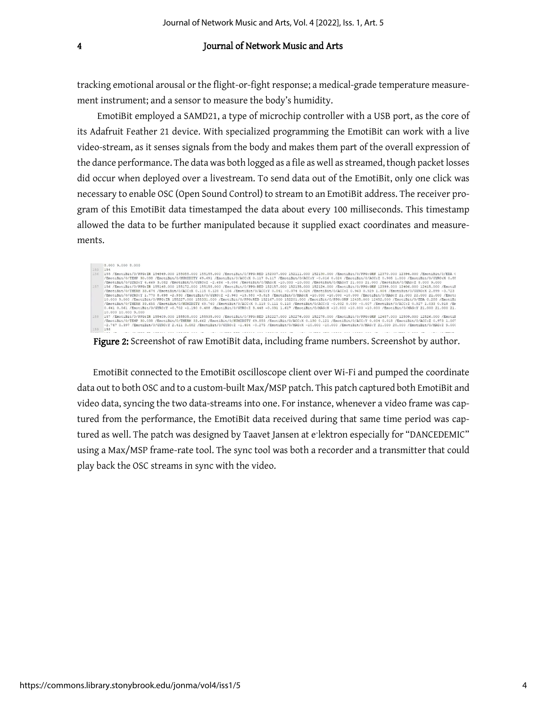tracking emotional arousal or the flight-or-fight response; a medical-grade temperature measurement instrument; and a sensor to measure the body's humidity.

EmotiBit employed a SAMD21, a type of microchip controller with a USB port, as the core of its Adafruit Feather 21 device. With specialized programming the EmotiBit can work with a live video-stream, as it senses signals from the body and makes them part of the overall expression of the dance performance. The data was both logged as a file as well as streamed, though packet losses did occur when deployed over a livestream. To send data out of the EmotiBit, only one click was necessary to enable OSC (Open Sound Control) to stream to an EmotiBit address. The receiver program of this EmotiBit data timestamped the data about every 100 milliseconds. This timestamp allowed the data to be further manipulated because it supplied exact coordinates and measurements.

|     | 8,000 9,000 8,000                                                                                                                                                      |
|-----|------------------------------------------------------------------------------------------------------------------------------------------------------------------------|
| 155 | 154                                                                                                                                                                    |
| 156 | 155 /EmotiBit/0/PPG:IR 154849.000 155055.000 155155.000 /EmotiBit/0/PPG:RED 152007.000 152111.000 152130.000 /EmotiBit/0/PPG:GRN 12370.000 12394.000 /EmotiBit/0/EDA 0 |
|     | /EmotiBit/0/TEMP 30.038 /EmotiBit/0/HUMIDITY 69.691 /EmotiBit/0/ACC:X 0.117 0.117 /EmotiBit/0/ACC:Y -0.016 0.024 /EmotiBit/0/ACC:Z 0.905 1.000 /EmotiBit/0/GYRO:X 0.85 |
|     | /EmotiBit/0/GYRO:Y 4.669 3.082 /EmotiBit/0/GYRO:Z -2.686 -5.096 /EmotiBit/0/MAG:X -10.000 -10.000 /EmotiBit/0/MAG:Y 21.000 21.000 /EmotiBit/0/MAG:Z 8.000 9.000        |
| 157 | 156 /EmotiBit/0/PPG:IR 155148.000 155172.000 155158.000 /EmotiBit/0/PPG:RED 152157.000 152135.000 152124.000 /EmotiBit/0/PPG:GRN 12399.000 12406.000 12415.000 /EmotiB |
|     | /EmotiBit/0/THERM 33.674 /EmotiBit/0/ACC:X 0.115 0.120 0.106 /EmotiBit/0/ACC:Y 0.041 -0.074 0.024 /EmotiBit/0/ACC:Z 0.963 0.929 1.004 /EmotiBit/0/GYRO:X 2.899 -3.723  |
|     | /EmotiBit/0/GYRO:Y 1.770 8.698 -2.930 /EmotiBit/0/GYRO:Z -2.960 -13.580 -3.815 /EmotiBit/0/MAG:X -10.000 -10.000 -10.000 /EmotiBit/0/MAG:Y 21.000 22.000 21.000 /Emoti |
|     | 10,000 9.000 /EmotiBit/0/PPG:IR 155227.000 155331.000 /EmotiBit/0/PPG:RED 152167.000 152201.000 /EmotiBit/0/PPG:GRN 12435.000 12452.000 /EmotiBit/0/EDA 0.288 /EmotiBi |
|     | /EmotiBit/0/THERM 33.655 /EmotiBit/0/HUMIDITY 69.760 /EmotiBit/0/ACC:X 0.118 0.111 0.110 /EmotiBit/0/ACC:Y -0.032 0.030 -0.007 /EmotiBit/0/ACC:Z 0.927 1.033 0.918 /Em |
|     | 0.641 0.061 /EmotiBit/0/GYRO:Y -0.702 -1.190 0.488 /EmotiBit/0/GYRO:Z 3.448 -0.031 1.617 /EmotiBit/0/MAG:X -10.000 -10.000 -10.000 /EmotiBit/0/MAG:Y 21.000 21.000 21. |
|     | 10,000 10,000 9,000                                                                                                                                                    |
| 158 | 157 /EmotiBit/0/PPG:IR 155409.000 155505.000 155535.000 /EmotiBit/0/PPG:RED 152227.000 152276.000 152278.000 /EmotiBit/0/PPG:GRN 12487.000 12509.000 12526.000 /EmotiB |
|     | /EmotiBit/0/TEMP 30.038 /EmotiBit/0/THERM 33.662 /EmotiBit/0/HUMIDITY 69.855 /EmotiBit/0/ACC:X 0.130 0.121 /EmotiBit/0/ACC:Y 0.004 0.018 /EmotiBit/0/ACC:Z 0.973 1.007 |
|     | -2.747 0.397 /EmotiBit/0/GYRO:Y 2.411 3.082 /EmotiBit/0/GYRO:Z -1.404 -0.275 /EmotiBit/0/MAG:X -10.000 -10.000 /EmotiBit/0/MAG:Y 21.000 20.000 /EmotiBit/0/MAG:Z 9.000 |
| 159 | 158                                                                                                                                                                    |
|     |                                                                                                                                                                        |

Figure 2: Screenshot of raw EmotiBit data, including frame numbers. Screenshot by author.

EmotiBit connected to the EmotiBit oscilloscope client over Wi-Fi and pumped the coordinate data out to both OSC and to a custom-built Max/MSP patch. This patch captured both EmotiBit and video data, syncing the two data-streams into one. For instance, whenever a video frame was captured from the performance, the EmotiBit data received during that same time period was captured as well. The patch was designed by Taavet Jansen at e-lektron especially for "DANCEDEMIC" using a Max/MSP frame-rate tool. The sync tool was both a recorder and a transmitter that could play back the OSC streams in sync with the video.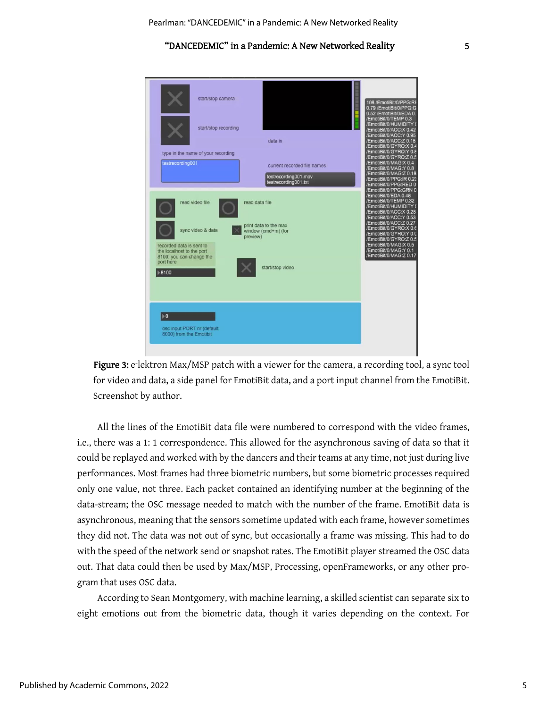

Figure 3: e lektron Max/MSP patch with a viewer for the camera, a recording tool, a sync tool for video and data, a side panel for EmotiBit data, and a port input channel from the EmotiBit. Screenshot by author.

All the lines of the EmotiBit data file were numbered to correspond with the video frames, i.e., there was a 1: 1 correspondence. This allowed for the asynchronous saving of data so that it could be replayed and worked with by the dancers and their teams at any time, not just during live performances. Most frames had three biometric numbers, but some biometric processes required only one value, not three. Each packet contained an identifying number at the beginning of the data-stream; the OSC message needed to match with the number of the frame. EmotiBit data is asynchronous, meaning that the sensors sometime updated with each frame, however sometimes they did not. The data was not out of sync, but occasionally a frame was missing. This had to do with the speed of the network send or snapshot rates. The EmotiBit player streamed the OSC data out. That data could then be used by Max/MSP, Processing, openFrameworks, or any other program that uses OSC data.

According to Sean Montgomery, with machine learning, a skilled scientist can separate six to eight emotions out from the biometric data, though it varies depending on the context. For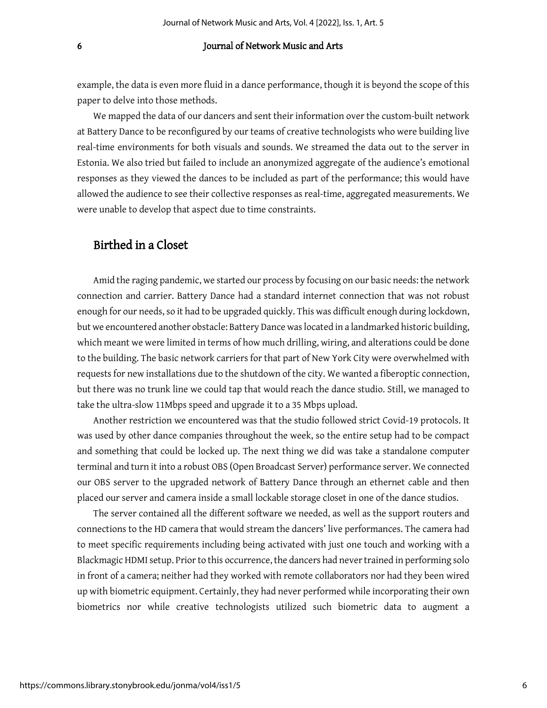example, the data is even more fluid in a dance performance, though it is beyond the scope of this paper to delve into those methods.

We mapped the data of our dancers and sent their information over the custom-built network at Battery Dance to be reconfigured by our teams of creative technologists who were building live real-time environments for both visuals and sounds. We streamed the data out to the server in Estonia. We also tried but failed to include an anonymized aggregate of the audience's emotional responses as they viewed the dances to be included as part of the performance; this would have allowed the audience to see their collective responses as real-time, aggregated measurements. We were unable to develop that aspect due to time constraints.

## Birthed in a Closet

Amid the raging pandemic, we started our process by focusing on our basic needs: the network connection and carrier. Battery Dance had a standard internet connection that was not robust enough for our needs, so it had to be upgraded quickly. This was difficult enough during lockdown, but we encountered another obstacle: Battery Dance was located in a landmarked historic building, which meant we were limited in terms of how much drilling, wiring, and alterations could be done to the building. The basic network carriers for that part of New York City were overwhelmed with requests for new installations due to the shutdown of the city. We wanted a fiberoptic connection, but there was no trunk line we could tap that would reach the dance studio. Still, we managed to take the ultra-slow 11Mbps speed and upgrade it to a 35 Mbps upload.

Another restriction we encountered was that the studio followed strict Covid-19 protocols. It was used by other dance companies throughout the week, so the entire setup had to be compact and something that could be locked up. The next thing we did was take a standalone computer terminal and turn it into a robust OBS (Open Broadcast Server) performance server. We connected our OBS server to the upgraded network of Battery Dance through an ethernet cable and then placed our server and camera inside a small lockable storage closet in one of the dance studios.

The server contained all the different software we needed, as well as the support routers and connections to the HD camera that would stream the dancers' live performances. The camera had to meet specific requirements including being activated with just one touch and working with a Blackmagic HDMI setup. Prior to this occurrence, the dancers had never trained in performing solo in front of a camera; neither had they worked with remote collaborators nor had they been wired up with biometric equipment. Certainly, they had never performed while incorporating their own biometrics nor while creative technologists utilized such biometric data to augment a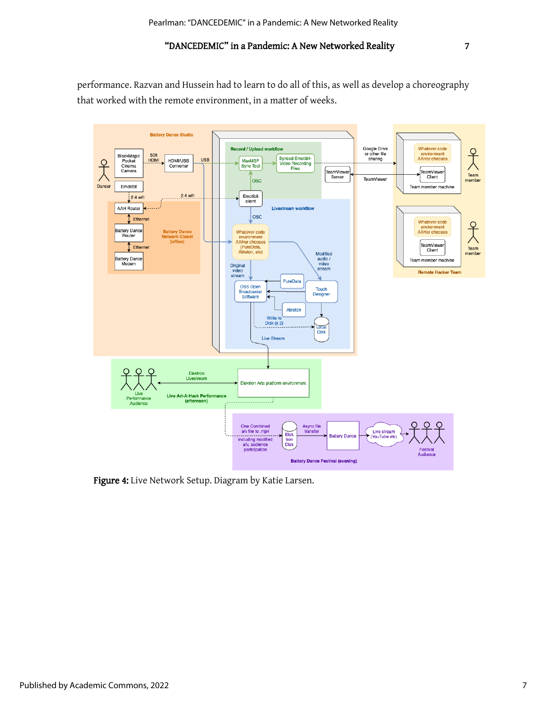performance. Razvan and Hussein had to learn to do all of this, as well as develop a choreography that worked with the remote environment, in a matter of weeks.



Figure 4: Live Network Setup. Diagram by Katie Larsen.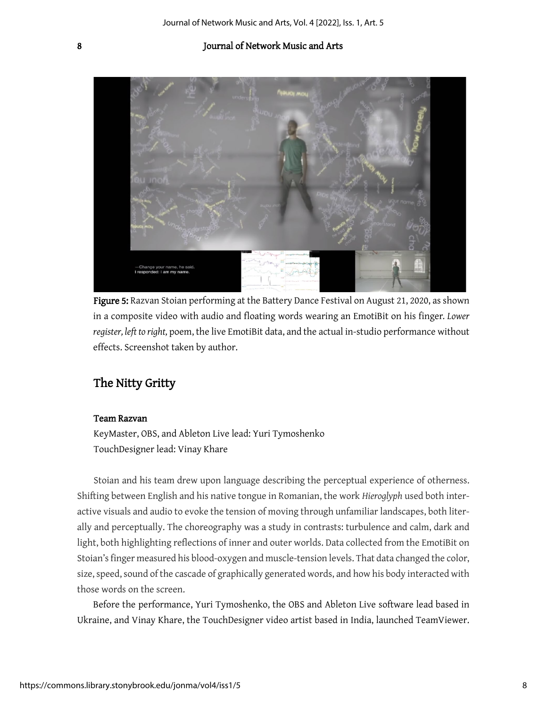

Figure 5: Razvan Stoian performing at the Battery Dance Festival on August 21, 2020, as shown in a composite video with audio and floating words wearing an EmotiBit on his finger*. Lower register, left to right,* poem, the live EmotiBit data, and the actual in-studio performance without effects. Screenshot taken by author.

## The Nitty Gritty

#### Team Razvan

KeyMaster, OBS, and Ableton Live lead: Yuri Tymoshenko TouchDesigner lead: Vinay Khare

Stoian and his team drew upon language describing the perceptual experience of otherness. Shifting between English and his native tongue in Romanian, the work *Hieroglyph* used both interactive visuals and audio to evoke the tension of moving through unfamiliar landscapes, both literally and perceptually. The choreography was a study in contrasts: turbulence and calm, dark and light, both highlighting reflections of inner and outer worlds. Data collected from the EmotiBit on Stoian's finger measured his blood-oxygen and muscle-tension levels. That data changed the color, size, speed, sound of the cascade of graphically generated words, and how his body interacted with those words on the screen.

Before the performance, Yuri Tymoshenko, the OBS and Ableton Live software lead based in Ukraine, and Vinay Khare, the TouchDesigner video artist based in India, launched TeamViewer.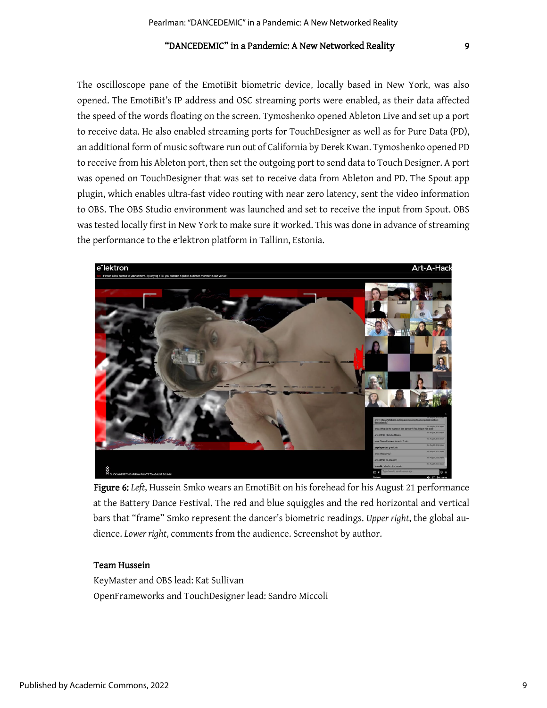The oscilloscope pane of the EmotiBit biometric device, locally based in New York, was also opened. The EmotiBit's IP address and OSC streaming ports were enabled, as their data affected the speed of the words floating on the screen. Tymoshenko opened Ableton Live and set up a port to receive data. He also enabled streaming ports for TouchDesigner as well as for Pure Data (PD), an additional form of music software run out of California by Derek Kwan. Tymoshenko opened PD to receive from his Ableton port, then set the outgoing port to send data to Touch Designer. A port was opened on TouchDesigner that was set to receive data from Ableton and PD. The Spout app plugin, which enables ultra-fast video routing with near zero latency, sent the video information to OBS. The OBS Studio environment was launched and set to receive the input from Spout. OBS was tested locally first in New York to make sure it worked. This was done in advance of streaming the performance to the e<sup>-</sup>lektron platform in Tallinn, Estonia.

![](_page_9_Picture_3.jpeg)

Figure 6: *Left*, Hussein Smko wears an EmotiBit on his forehead for his August 21 performance at the Battery Dance Festival. The red and blue squiggles and the red horizontal and vertical bars that "frame" Smko represent the dancer's biometric readings. *Upper right*, the global audience. *Lower right*, comments from the audience. Screenshot by author.

#### Team Hussein

KeyMaster and OBS lead: Kat Sullivan OpenFrameworks and TouchDesigner lead: Sandro Miccoli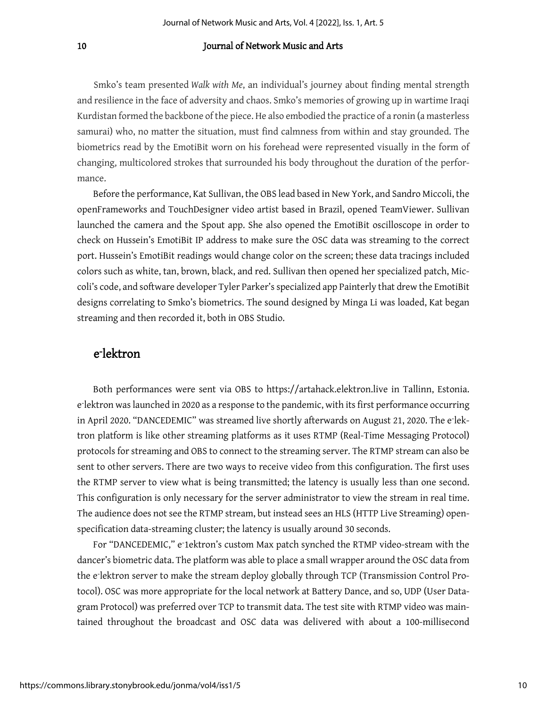Smko's team presented *Walk with Me*, an individual's journey about finding mental strength and resilience in the face of adversity and chaos. Smko's memories of growing up in wartime Iraqi Kurdistan formed the backbone of the piece. He also embodied the practice of a ronin (a masterless samurai) who, no matter the situation, must find calmness from within and stay grounded. The biometrics read by the EmotiBit worn on his forehead were represented visually in the form of changing, multicolored strokes that surrounded his body throughout the duration of the performance.

Before the performance, Kat Sullivan, the OBS lead based in New York, and Sandro Miccoli, the openFrameworks and TouchDesigner video artist based in Brazil, opened TeamViewer. Sullivan launched the camera and the Spout app. She also opened the EmotiBit oscilloscope in order to check on Hussein's EmotiBit IP address to make sure the OSC data was streaming to the correct port. Hussein's EmotiBit readings would change color on the screen; these data tracings included colors such as white, tan, brown, black, and red. Sullivan then opened her specialized patch, Miccoli's code, and software developer Tyler Parker's specialized app Painterly that drew the EmotiBit designs correlating to Smko's biometrics. The sound designed by Minga Li was loaded, Kat began streaming and then recorded it, both in OBS Studio.

## e⁻lektron

Both performances were sent via OBS to https://artahack.elektron.live in Tallinn, Estonia. e lektron was launched in 2020 as a response to the pandemic, with its first performance occurring in April 2020. "DANCEDEMIC" was streamed live shortly afterwards on August 21, 2020. The elektron platform is like other streaming platforms as it uses RTMP (Real-Time Messaging Protocol) protocols for streaming and OBS to connect to the streaming server. The RTMP stream can also be sent to other servers. There are two ways to receive video from this configuration. The first uses the RTMP server to view what is being transmitted; the latency is usually less than one second. This configuration is only necessary for the server administrator to view the stream in real time. The audience does not see the RTMP stream, but instead sees an HLS (HTTP Live Streaming) openspecification data-streaming cluster; the latency is usually around 30 seconds.

For "DANCEDEMIC," e-1ektron's custom Max patch synched the RTMP video-stream with the dancer's biometric data. The platform was able to place a small wrapper around the OSC data from the elektron server to make the stream deploy globally through TCP (Transmission Control Protocol). OSC was more appropriate for the local network at Battery Dance, and so, UDP (User Datagram Protocol) was preferred over TCP to transmit data. The test site with RTMP video was maintained throughout the broadcast and OSC data was delivered with about a 100-millisecond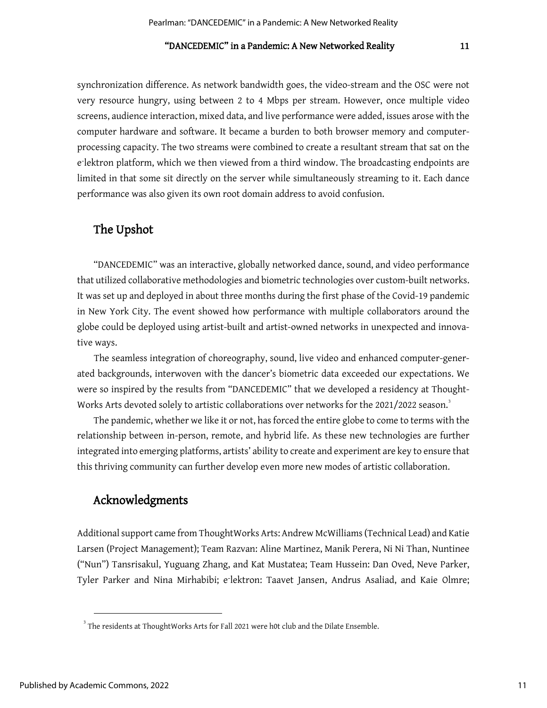synchronization difference. As network bandwidth goes, the video-stream and the OSC were not very resource hungry, using between 2 to 4 Mbps per stream. However, once multiple video screens, audience interaction, mixed data, and live performance were added, issues arose with the computer hardware and software. It became a burden to both browser memory and computerprocessing capacity. The two streams were combined to create a resultant stream that sat on the e<sup>-</sup>lektron platform, which we then viewed from a third window. The broadcasting endpoints are limited in that some sit directly on the server while simultaneously streaming to it. Each dance performance was also given its own root domain address to avoid confusion.

## The Upshot

"DANCEDEMIC" was an interactive, globally networked dance, sound, and video performance that utilized collaborative methodologies and biometric technologies over custom-built networks. It was set up and deployed in about three months during the first phase of the Covid-19 pandemic in New York City. The event showed how performance with multiple collaborators around the globe could be deployed using artist-built and artist-owned networks in unexpected and innovative ways.

The seamless integration of choreography, sound, live video and enhanced computer-generated backgrounds, interwoven with the dancer's biometric data exceeded our expectations. We were so inspired by the results from "DANCEDEMIC" that we developed a residency at Thought-Works Arts devoted solely to artistic collaborations over networks for the 2021/2022 season. $^{\text{3}}$  $^{\text{3}}$  $^{\text{3}}$ 

The pandemic, whether we like it or not, has forced the entire globe to come to terms with the relationship between in-person, remote, and hybrid life. As these new technologies are further integrated into emerging platforms, artists' ability to create and experiment are key to ensure that this thriving community can further develop even more new modes of artistic collaboration.

## Acknowledgments

Additional support came from ThoughtWorks Arts: Andrew McWilliams (Technical Lead) and Katie Larsen (Project Management); Team Razvan: Aline Martinez, Manik Perera, Ni Ni Than, Nuntinee ("Nun") Tansrisakul, Yuguang Zhang, and Kat Mustatea; Team Hussein: Dan Oved, Neve Parker, Tyler Parker and Nina Mirhabibi; e<sup>-</sup>lektron: Taavet Jansen, Andrus Asaliad, and Kaie Olmre;

<span id="page-11-0"></span> $^3$  The residents at ThoughtWorks Arts for Fall 2021 were h0t club and the Dilate Ensemble.